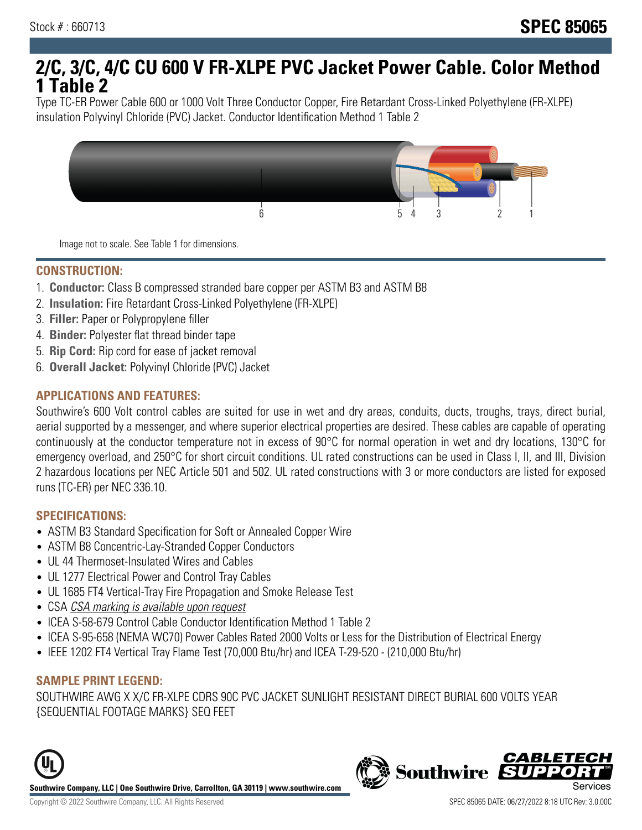# **2/C, 3/C, 4/C CU 600 V FR-XLPE PVC Jacket Power Cable. Color Method 1 Table 2**

Type TC-ER Power Cable 600 or 1000 Volt Three Conductor Copper, Fire Retardant Cross-Linked Polyethylene (FR-XLPE) insulation Polyvinyl Chloride (PVC) Jacket. Conductor Identification Method 1 Table 2



Image not to scale. See Table 1 for dimensions.

#### **CONSTRUCTION:**

- 1. **Conductor:** Class B compressed stranded bare copper per ASTM B3 and ASTM B8
- 2. **Insulation:** Fire Retardant Cross-Linked Polyethylene (FR-XLPE)
- 3. **Filler:** Paper or Polypropylene filler
- 4. **Binder:** Polyester flat thread binder tape
- 5. **Rip Cord:** Rip cord for ease of jacket removal
- 6. **Overall Jacket:** Polyvinyl Chloride (PVC) Jacket

## **APPLICATIONS AND FEATURES:**

Southwire's 600 Volt control cables are suited for use in wet and dry areas, conduits, ducts, troughs, trays, direct burial, aerial supported by a messenger, and where superior electrical properties are desired. These cables are capable of operating continuously at the conductor temperature not in excess of 90°C for normal operation in wet and dry locations, 130°C for emergency overload, and 250°C for short circuit conditions. UL rated constructions can be used in Class I, II, and III, Division 2 hazardous locations per NEC Article 501 and 502. UL rated constructions with 3 or more conductors are listed for exposed runs (TC-ER) per NEC 336.10.

#### **SPECIFICATIONS:**

- ASTM B3 Standard Specification for Soft or Annealed Copper Wire
- ASTM B8 Concentric-Lay-Stranded Copper Conductors
- UL 44 Thermoset-Insulated Wires and Cables
- UL 1277 Electrical Power and Control Tray Cables
- UL 1685 FT4 Vertical-Tray Fire Propagation and Smoke Release Test
- CSA CSA marking is available upon request
- ICEA S-58-679 Control Cable Conductor Identification Method 1 Table 2
- ICEA S-95-658 (NEMA WC70) Power Cables Rated 2000 Volts or Less for the Distribution of Electrical Energy
- IEEE 1202 FT4 Vertical Tray Flame Test (70,000 Btu/hr) and ICEA T-29-520 (210,000 Btu/hr)

#### **SAMPLE PRINT LEGEND:**

SOUTHWIRE AWG X X/C FR-XLPE CDRS 90C PVC JACKET SUNLIGHT RESISTANT DIRECT BURIAL 600 VOLTS YEAR {SEQUENTIAL FOOTAGE MARKS} SEQ FEET





**CABLETE**